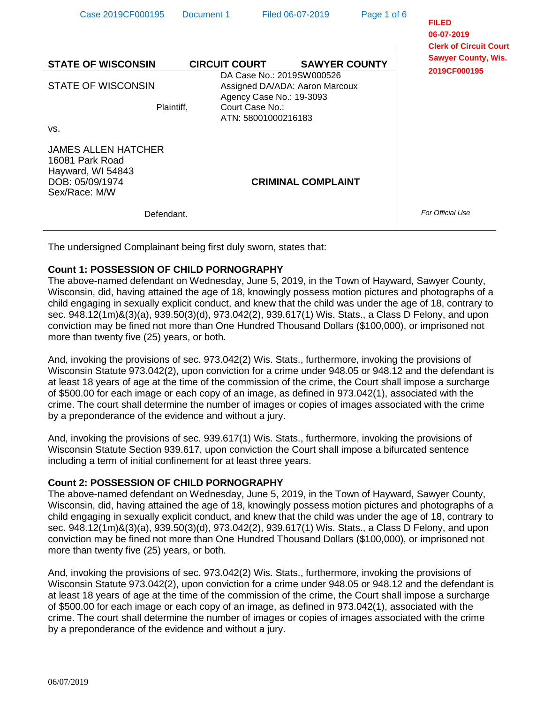| Case 2019CF000195                                                                               | Document 1 |                                        | Filed 06-07-2019                                            | Page 1 of 6          | <b>FILED</b>                                                              |
|-------------------------------------------------------------------------------------------------|------------|----------------------------------------|-------------------------------------------------------------|----------------------|---------------------------------------------------------------------------|
| <b>STATE OF WISCONSIN</b>                                                                       |            | <b>CIRCUIT COURT</b>                   |                                                             | <b>SAWYER COUNTY</b> | 06-07-2019<br><b>Clerk of Circuit Court</b><br><b>Sawyer County, Wis.</b> |
| <b>STATE OF WISCONSIN</b>                                                                       |            | Agency Case No.: 19-3093               | DA Case No.: 2019SW000526<br>Assigned DA/ADA: Aaron Marcoux |                      | 2019CF000195                                                              |
|                                                                                                 | Plaintiff, | Court Case No.:<br>ATN: 58001000216183 |                                                             |                      |                                                                           |
| VS.                                                                                             |            |                                        |                                                             |                      |                                                                           |
| JAMES ALLEN HATCHER<br>16081 Park Road<br>Hayward, WI 54843<br>DOB: 05/09/1974<br>Sex/Race: M/W |            |                                        | <b>CRIMINAL COMPLAINT</b>                                   |                      |                                                                           |
|                                                                                                 | Defendant. |                                        |                                                             |                      | For Official Use                                                          |

The undersigned Complainant being first duly sworn, states that:

### **Count 1: POSSESSION OF CHILD PORNOGRAPHY**

The above-named defendant on Wednesday, June 5, 2019, in the Town of Hayward, Sawyer County, Wisconsin, did, having attained the age of 18, knowingly possess motion pictures and photographs of a child engaging in sexually explicit conduct, and knew that the child was under the age of 18, contrary to sec. 948.12(1m)&(3)(a), 939.50(3)(d), 973.042(2), 939.617(1) Wis. Stats., a Class D Felony, and upon conviction may be fined not more than One Hundred Thousand Dollars (\$100,000), or imprisoned not more than twenty five (25) years, or both.

And, invoking the provisions of sec. 973.042(2) Wis. Stats., furthermore, invoking the provisions of Wisconsin Statute 973.042(2), upon conviction for a crime under 948.05 or 948.12 and the defendant is at least 18 years of age at the time of the commission of the crime, the Court shall impose a surcharge of \$500.00 for each image or each copy of an image, as defined in 973.042(1), associated with the crime. The court shall determine the number of images or copies of images associated with the crime by a preponderance of the evidence and without a jury.

And, invoking the provisions of sec. 939.617(1) Wis. Stats., furthermore, invoking the provisions of Wisconsin Statute Section 939.617, upon conviction the Court shall impose a bifurcated sentence including a term of initial confinement for at least three years.

### **Count 2: POSSESSION OF CHILD PORNOGRAPHY**

The above-named defendant on Wednesday, June 5, 2019, in the Town of Hayward, Sawyer County, Wisconsin, did, having attained the age of 18, knowingly possess motion pictures and photographs of a child engaging in sexually explicit conduct, and knew that the child was under the age of 18, contrary to sec. 948.12(1m)&(3)(a), 939.50(3)(d), 973.042(2), 939.617(1) Wis. Stats., a Class D Felony, and upon conviction may be fined not more than One Hundred Thousand Dollars (\$100,000), or imprisoned not more than twenty five (25) years, or both.

And, invoking the provisions of sec. 973.042(2) Wis. Stats., furthermore, invoking the provisions of Wisconsin Statute 973.042(2), upon conviction for a crime under 948.05 or 948.12 and the defendant is at least 18 years of age at the time of the commission of the crime, the Court shall impose a surcharge of \$500.00 for each image or each copy of an image, as defined in 973.042(1), associated with the crime. The court shall determine the number of images or copies of images associated with the crime by a preponderance of the evidence and without a jury.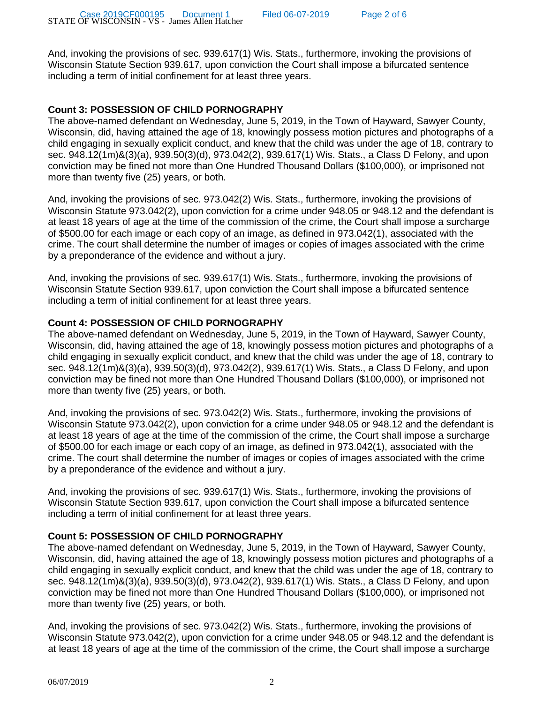And, invoking the provisions of sec. 939.617(1) Wis. Stats., furthermore, invoking the provisions of Wisconsin Statute Section 939.617, upon conviction the Court shall impose a bifurcated sentence including a term of initial confinement for at least three years.

# **Count 3: POSSESSION OF CHILD PORNOGRAPHY**

The above-named defendant on Wednesday, June 5, 2019, in the Town of Hayward, Sawyer County, Wisconsin, did, having attained the age of 18, knowingly possess motion pictures and photographs of a child engaging in sexually explicit conduct, and knew that the child was under the age of 18, contrary to sec. 948.12(1m)&(3)(a), 939.50(3)(d), 973.042(2), 939.617(1) Wis. Stats., a Class D Felony, and upon conviction may be fined not more than One Hundred Thousand Dollars (\$100,000), or imprisoned not more than twenty five (25) years, or both.

And, invoking the provisions of sec. 973.042(2) Wis. Stats., furthermore, invoking the provisions of Wisconsin Statute 973.042(2), upon conviction for a crime under 948.05 or 948.12 and the defendant is at least 18 years of age at the time of the commission of the crime, the Court shall impose a surcharge of \$500.00 for each image or each copy of an image, as defined in 973.042(1), associated with the crime. The court shall determine the number of images or copies of images associated with the crime by a preponderance of the evidence and without a jury.

And, invoking the provisions of sec. 939.617(1) Wis. Stats., furthermore, invoking the provisions of Wisconsin Statute Section 939.617, upon conviction the Court shall impose a bifurcated sentence including a term of initial confinement for at least three years.

## **Count 4: POSSESSION OF CHILD PORNOGRAPHY**

The above-named defendant on Wednesday, June 5, 2019, in the Town of Hayward, Sawyer County, Wisconsin, did, having attained the age of 18, knowingly possess motion pictures and photographs of a child engaging in sexually explicit conduct, and knew that the child was under the age of 18, contrary to sec. 948.12(1m)&(3)(a), 939.50(3)(d), 973.042(2), 939.617(1) Wis. Stats., a Class D Felony, and upon conviction may be fined not more than One Hundred Thousand Dollars (\$100,000), or imprisoned not more than twenty five (25) years, or both.

And, invoking the provisions of sec. 973.042(2) Wis. Stats., furthermore, invoking the provisions of Wisconsin Statute 973.042(2), upon conviction for a crime under 948.05 or 948.12 and the defendant is at least 18 years of age at the time of the commission of the crime, the Court shall impose a surcharge of \$500.00 for each image or each copy of an image, as defined in 973.042(1), associated with the crime. The court shall determine the number of images or copies of images associated with the crime by a preponderance of the evidence and without a jury.

And, invoking the provisions of sec. 939.617(1) Wis. Stats., furthermore, invoking the provisions of Wisconsin Statute Section 939.617, upon conviction the Court shall impose a bifurcated sentence including a term of initial confinement for at least three years.

## **Count 5: POSSESSION OF CHILD PORNOGRAPHY**

The above-named defendant on Wednesday, June 5, 2019, in the Town of Hayward, Sawyer County, Wisconsin, did, having attained the age of 18, knowingly possess motion pictures and photographs of a child engaging in sexually explicit conduct, and knew that the child was under the age of 18, contrary to sec. 948.12(1m)&(3)(a), 939.50(3)(d), 973.042(2), 939.617(1) Wis. Stats., a Class D Felony, and upon conviction may be fined not more than One Hundred Thousand Dollars (\$100,000), or imprisoned not more than twenty five (25) years, or both.

And, invoking the provisions of sec. 973.042(2) Wis. Stats., furthermore, invoking the provisions of Wisconsin Statute 973.042(2), upon conviction for a crime under 948.05 or 948.12 and the defendant is at least 18 years of age at the time of the commission of the crime, the Court shall impose a surcharge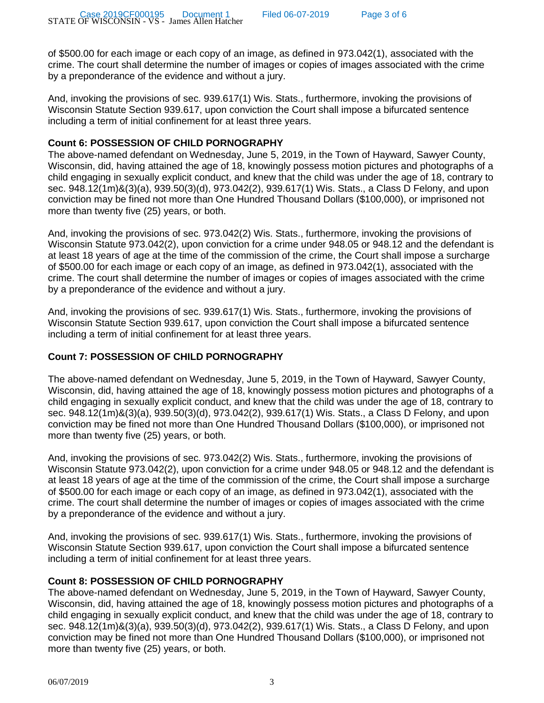Page 3 of 6

of \$500.00 for each image or each copy of an image, as defined in 973.042(1), associated with the crime. The court shall determine the number of images or copies of images associated with the crime by a preponderance of the evidence and without a jury.

And, invoking the provisions of sec. 939.617(1) Wis. Stats., furthermore, invoking the provisions of Wisconsin Statute Section 939.617, upon conviction the Court shall impose a bifurcated sentence including a term of initial confinement for at least three years.

### **Count 6: POSSESSION OF CHILD PORNOGRAPHY**

The above-named defendant on Wednesday, June 5, 2019, in the Town of Hayward, Sawyer County, Wisconsin, did, having attained the age of 18, knowingly possess motion pictures and photographs of a child engaging in sexually explicit conduct, and knew that the child was under the age of 18, contrary to sec. 948.12(1m)&(3)(a), 939.50(3)(d), 973.042(2), 939.617(1) Wis. Stats., a Class D Felony, and upon conviction may be fined not more than One Hundred Thousand Dollars (\$100,000), or imprisoned not more than twenty five (25) years, or both.

And, invoking the provisions of sec. 973.042(2) Wis. Stats., furthermore, invoking the provisions of Wisconsin Statute 973.042(2), upon conviction for a crime under 948.05 or 948.12 and the defendant is at least 18 years of age at the time of the commission of the crime, the Court shall impose a surcharge of \$500.00 for each image or each copy of an image, as defined in 973.042(1), associated with the crime. The court shall determine the number of images or copies of images associated with the crime by a preponderance of the evidence and without a jury.

And, invoking the provisions of sec. 939.617(1) Wis. Stats., furthermore, invoking the provisions of Wisconsin Statute Section 939.617, upon conviction the Court shall impose a bifurcated sentence including a term of initial confinement for at least three years.

### **Count 7: POSSESSION OF CHILD PORNOGRAPHY**

The above-named defendant on Wednesday, June 5, 2019, in the Town of Hayward, Sawyer County, Wisconsin, did, having attained the age of 18, knowingly possess motion pictures and photographs of a child engaging in sexually explicit conduct, and knew that the child was under the age of 18, contrary to sec. 948.12(1m)&(3)(a), 939.50(3)(d), 973.042(2), 939.617(1) Wis. Stats., a Class D Felony, and upon conviction may be fined not more than One Hundred Thousand Dollars (\$100,000), or imprisoned not more than twenty five (25) years, or both.

And, invoking the provisions of sec. 973.042(2) Wis. Stats., furthermore, invoking the provisions of Wisconsin Statute 973.042(2), upon conviction for a crime under 948.05 or 948.12 and the defendant is at least 18 years of age at the time of the commission of the crime, the Court shall impose a surcharge of \$500.00 for each image or each copy of an image, as defined in 973.042(1), associated with the crime. The court shall determine the number of images or copies of images associated with the crime by a preponderance of the evidence and without a jury.

And, invoking the provisions of sec. 939.617(1) Wis. Stats., furthermore, invoking the provisions of Wisconsin Statute Section 939.617, upon conviction the Court shall impose a bifurcated sentence including a term of initial confinement for at least three years.

## **Count 8: POSSESSION OF CHILD PORNOGRAPHY**

The above-named defendant on Wednesday, June 5, 2019, in the Town of Hayward, Sawyer County, Wisconsin, did, having attained the age of 18, knowingly possess motion pictures and photographs of a child engaging in sexually explicit conduct, and knew that the child was under the age of 18, contrary to sec. 948.12(1m)&(3)(a), 939.50(3)(d), 973.042(2), 939.617(1) Wis. Stats., a Class D Felony, and upon conviction may be fined not more than One Hundred Thousand Dollars (\$100,000), or imprisoned not more than twenty five (25) years, or both.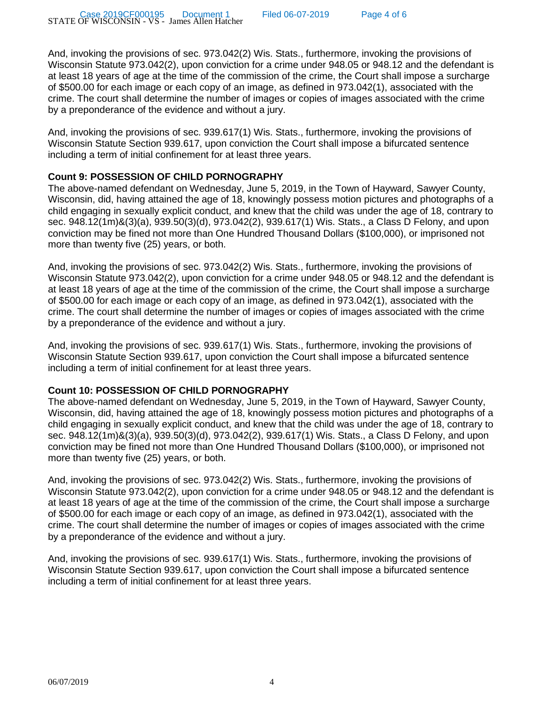And, invoking the provisions of sec. 973.042(2) Wis. Stats., furthermore, invoking the provisions of Wisconsin Statute 973.042(2), upon conviction for a crime under 948.05 or 948.12 and the defendant is at least 18 years of age at the time of the commission of the crime, the Court shall impose a surcharge of \$500.00 for each image or each copy of an image, as defined in 973.042(1), associated with the crime. The court shall determine the number of images or copies of images associated with the crime by a preponderance of the evidence and without a jury.

And, invoking the provisions of sec. 939.617(1) Wis. Stats., furthermore, invoking the provisions of Wisconsin Statute Section 939.617, upon conviction the Court shall impose a bifurcated sentence including a term of initial confinement for at least three years.

### **Count 9: POSSESSION OF CHILD PORNOGRAPHY**

The above-named defendant on Wednesday, June 5, 2019, in the Town of Hayward, Sawyer County, Wisconsin, did, having attained the age of 18, knowingly possess motion pictures and photographs of a child engaging in sexually explicit conduct, and knew that the child was under the age of 18, contrary to sec. 948.12(1m)&(3)(a), 939.50(3)(d), 973.042(2), 939.617(1) Wis. Stats., a Class D Felony, and upon conviction may be fined not more than One Hundred Thousand Dollars (\$100,000), or imprisoned not more than twenty five (25) years, or both.

And, invoking the provisions of sec. 973.042(2) Wis. Stats., furthermore, invoking the provisions of Wisconsin Statute 973.042(2), upon conviction for a crime under 948.05 or 948.12 and the defendant is at least 18 years of age at the time of the commission of the crime, the Court shall impose a surcharge of \$500.00 for each image or each copy of an image, as defined in 973.042(1), associated with the crime. The court shall determine the number of images or copies of images associated with the crime by a preponderance of the evidence and without a jury.

And, invoking the provisions of sec. 939.617(1) Wis. Stats., furthermore, invoking the provisions of Wisconsin Statute Section 939.617, upon conviction the Court shall impose a bifurcated sentence including a term of initial confinement for at least three years.

## **Count 10: POSSESSION OF CHILD PORNOGRAPHY**

The above-named defendant on Wednesday, June 5, 2019, in the Town of Hayward, Sawyer County, Wisconsin, did, having attained the age of 18, knowingly possess motion pictures and photographs of a child engaging in sexually explicit conduct, and knew that the child was under the age of 18, contrary to sec. 948.12(1m)&(3)(a), 939.50(3)(d), 973.042(2), 939.617(1) Wis. Stats., a Class D Felony, and upon conviction may be fined not more than One Hundred Thousand Dollars (\$100,000), or imprisoned not more than twenty five (25) years, or both.

And, invoking the provisions of sec. 973.042(2) Wis. Stats., furthermore, invoking the provisions of Wisconsin Statute 973.042(2), upon conviction for a crime under 948.05 or 948.12 and the defendant is at least 18 years of age at the time of the commission of the crime, the Court shall impose a surcharge of \$500.00 for each image or each copy of an image, as defined in 973.042(1), associated with the crime. The court shall determine the number of images or copies of images associated with the crime by a preponderance of the evidence and without a jury.

And, invoking the provisions of sec. 939.617(1) Wis. Stats., furthermore, invoking the provisions of Wisconsin Statute Section 939.617, upon conviction the Court shall impose a bifurcated sentence including a term of initial confinement for at least three years.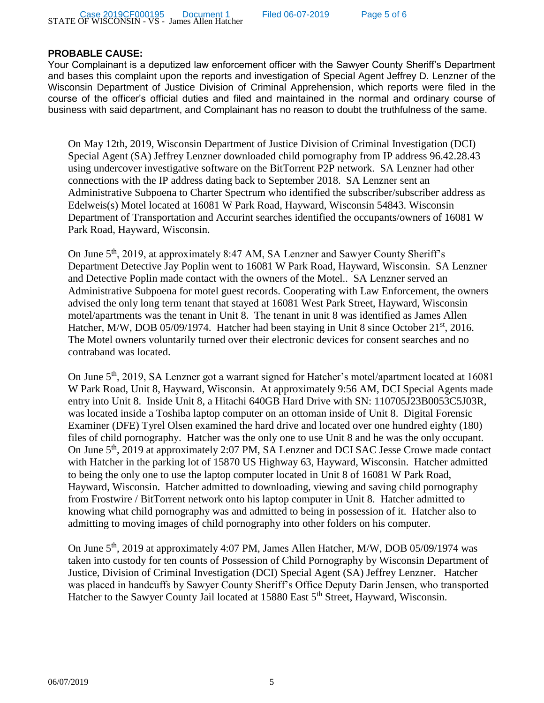### **PROBABLE CAUSE:**

Your Complainant is a deputized law enforcement officer with the Sawyer County Sheriff's Department and bases this complaint upon the reports and investigation of Special Agent Jeffrey D. Lenzner of the Wisconsin Department of Justice Division of Criminal Apprehension, which reports were filed in the course of the officer's official duties and filed and maintained in the normal and ordinary course of business with said department, and Complainant has no reason to doubt the truthfulness of the same.

On May 12th, 2019, Wisconsin Department of Justice Division of Criminal Investigation (DCI) Special Agent (SA) Jeffrey Lenzner downloaded child pornography from IP address 96.42.28.43 using undercover investigative software on the BitTorrent P2P network. SA Lenzner had other connections with the IP address dating back to September 2018. SA Lenzner sent an Administrative Subpoena to Charter Spectrum who identified the subscriber/subscriber address as Edelweis(s) Motel located at 16081 W Park Road, Hayward, Wisconsin 54843. Wisconsin Department of Transportation and Accurint searches identified the occupants/owners of 16081 W Park Road, Hayward, Wisconsin.

On June 5<sup>th</sup>, 2019, at approximately 8:47 AM, SA Lenzner and Sawyer County Sheriff's Department Detective Jay Poplin went to 16081 W Park Road, Hayward, Wisconsin. SA Lenzner and Detective Poplin made contact with the owners of the Motel.. SA Lenzner served an Administrative Subpoena for motel guest records. Cooperating with Law Enforcement, the owners advised the only long term tenant that stayed at 16081 West Park Street, Hayward, Wisconsin motel/apartments was the tenant in Unit 8. The tenant in unit 8 was identified as James Allen Hatcher, M/W, DOB 05/09/1974. Hatcher had been staying in Unit 8 since October 21<sup>st</sup>, 2016. The Motel owners voluntarily turned over their electronic devices for consent searches and no contraband was located.

On June 5<sup>th</sup>, 2019, SA Lenzner got a warrant signed for Hatcher's motel/apartment located at 16081 W Park Road, Unit 8, Hayward, Wisconsin. At approximately 9:56 AM, DCI Special Agents made entry into Unit 8. Inside Unit 8, a Hitachi 640GB Hard Drive with SN: 110705J23B0053C5J03R, was located inside a Toshiba laptop computer on an ottoman inside of Unit 8. Digital Forensic Examiner (DFE) Tyrel Olsen examined the hard drive and located over one hundred eighty (180) files of child pornography. Hatcher was the only one to use Unit 8 and he was the only occupant. On June 5<sup>th</sup>, 2019 at approximately 2:07 PM, SA Lenzner and DCI SAC Jesse Crowe made contact with Hatcher in the parking lot of 15870 US Highway 63, Hayward, Wisconsin. Hatcher admitted to being the only one to use the laptop computer located in Unit 8 of 16081 W Park Road, Hayward, Wisconsin. Hatcher admitted to downloading, viewing and saving child pornography from Frostwire / BitTorrent network onto his laptop computer in Unit 8. Hatcher admitted to knowing what child pornography was and admitted to being in possession of it. Hatcher also to admitting to moving images of child pornography into other folders on his computer.

On June 5<sup>th</sup>, 2019 at approximately 4:07 PM, James Allen Hatcher, M/W, DOB 05/09/1974 was taken into custody for ten counts of Possession of Child Pornography by Wisconsin Department of Justice, Division of Criminal Investigation (DCI) Special Agent (SA) Jeffrey Lenzner. Hatcher was placed in handcuffs by Sawyer County Sheriff's Office Deputy Darin Jensen, who transported Hatcher to the Sawyer County Jail located at 15880 East 5<sup>th</sup> Street, Hayward, Wisconsin.